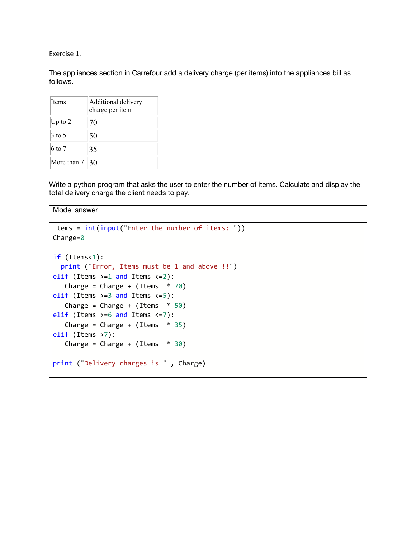Exercise 1.

The appliances section in Carrefour add a delivery charge (per items) into the appliances bill as follows.

| <b>Items</b> | Additional delivery<br>charge per item |
|--------------|----------------------------------------|
| Up to $2$    | 70                                     |
| 3 to 5       | 50                                     |
| 6 to 7       | 35                                     |
| More than 7  | 30                                     |

Write a python program that asks the user to enter the number of items. Calculate and display the total delivery charge the client needs to pay.

| Model answer                                                                                                                                                                                                                                                                                                                                                                   |
|--------------------------------------------------------------------------------------------------------------------------------------------------------------------------------------------------------------------------------------------------------------------------------------------------------------------------------------------------------------------------------|
| Items = $int(input("Enter the number of items:"))$                                                                                                                                                                                                                                                                                                                             |
| Charge= $0$                                                                                                                                                                                                                                                                                                                                                                    |
| $if$ (Items $\langle 1$ ):<br>print ("Error, Items must be 1 and above !!")<br>elif (Items $>=1$ and Items $<=2$ ):<br>Charge = Charge + (Items $* 70$ )<br>elif (Items $>=3$ and Items $<=5$ ):<br>Charge = Charge + (Items $* 50$ )<br>elif (Items $>= 6$ and Items $<= 7$ ):<br>Charge = Charge + $(Items * 35)$<br>elif (Items $>7$ ):<br>Charge = Charge + $(Items * 30)$ |
| print ("Delivery charges is ", Charge)                                                                                                                                                                                                                                                                                                                                         |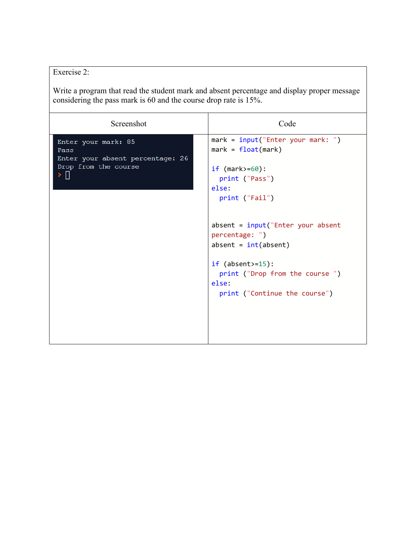## Exercise 2:

Write a program that read the student mark and absent percentage and display proper message considering the pass mark is 60 and the course drop rate is 15%.

| Screenshot                                                                                     | Code                                                                                                                          |  |
|------------------------------------------------------------------------------------------------|-------------------------------------------------------------------------------------------------------------------------------|--|
| Enter your mark: 85<br>Pass<br>Enter your absent percentage: 26<br>Drop from the course<br>⊁ ∏ | $mark = input("Enter your mark: ")$<br>$mark = float(maxk)$<br>if $(mark>=60)$ :<br>print ("Pass")<br>else:<br>print ("Fail") |  |
|                                                                                                | $absent = input("Enter your absent)$<br>percentage: ")<br>$absent = int(absent)$                                              |  |
|                                                                                                | $if (absent>=15):$<br>print ("Drop from the course")<br>else:<br>print ("Continue the course")                                |  |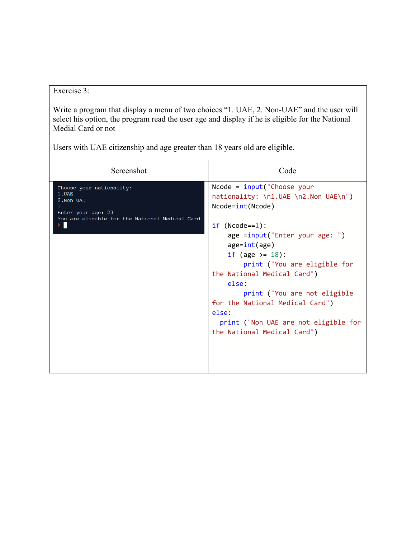## Exercise 3:

Write a program that display a menu of two choices "1. UAE, 2. Non-UAE" and the user will select his option, the program read the user age and display if he is eligible for the National Medial Card or not

Users with UAE citizenship and age greater than 18 years old are eligible.

| Screenshot                                                                                                                         | Code                                                                                                                                                                                                                                                                                                                                                                                    |  |
|------------------------------------------------------------------------------------------------------------------------------------|-----------------------------------------------------------------------------------------------------------------------------------------------------------------------------------------------------------------------------------------------------------------------------------------------------------------------------------------------------------------------------------------|--|
| Choose your nationality:<br>1. UAE<br>2.Non UAE<br>1<br>Enter your age: 23<br>You are eligable for the National Medical Card<br>У. | $Ncode = input("Choose your")$<br>$nationality: \n1. UAE \n2. Non UAE \n'$<br>Ncode=int(Ncode)<br>$if (Node==1):$<br>age =input("Enter your age: ")<br>$age=int(age)$<br>if (age $>= 18$ ):<br>print ("You are eligible for<br>the National Medical Card")<br>else:<br>print ("You are not eligible<br>for the National Medical Card")<br>else:<br>print ("Non UAE are not eligible for |  |
|                                                                                                                                    | the National Medical Card")                                                                                                                                                                                                                                                                                                                                                             |  |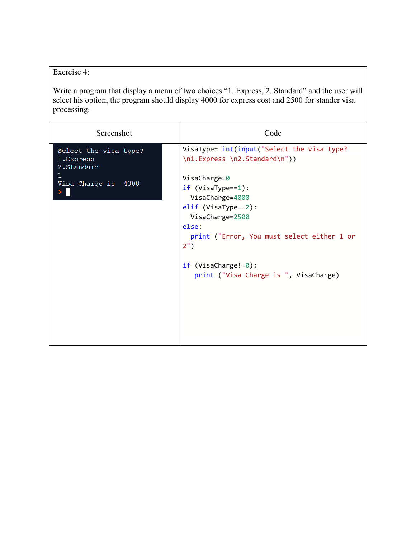## Exercise 4:

Write a program that display a menu of two choices "1. Express, 2. Standard" and the user will select his option, the program should display 4000 for express cost and 2500 for stander visa processing.

| Screenshot                                                                            | Code                                                                                                                                                                                                                                                                                                                    |
|---------------------------------------------------------------------------------------|-------------------------------------------------------------------------------------------------------------------------------------------------------------------------------------------------------------------------------------------------------------------------------------------------------------------------|
| Select the visa type?<br>1. Express<br>2.Standard<br>1<br>Visa Charge is 4000<br>× II | VisaType= int(input("Select the visa type?<br>\n1.Express \n2.Standard\n"))<br>VisaCharge=0<br>$if$ (VisaType==1):<br>VisaCharge=4000<br>elif (VisaType==2):<br>VisaCharge=2500<br>else:<br>print ("Error, You must select either 1 or<br>$2^{\circ}$ )<br>if (VisaCharge!=0):<br>print ("Visa Charge is ", VisaCharge) |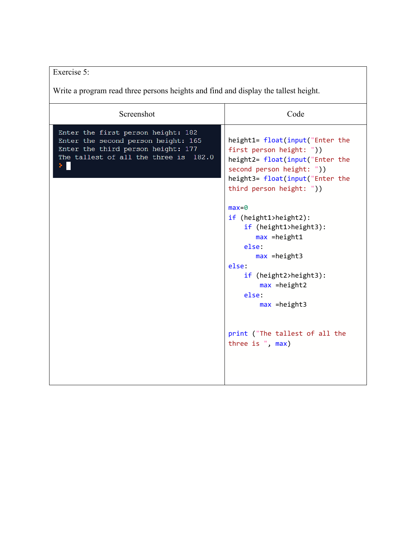## Exercise 5:

Write a program read three persons heights and find and display the tallest height.

| Screenshot                                                                                                                                                          | Code                                                                                                                                                                                                                                                                                                                                                                                |  |
|---------------------------------------------------------------------------------------------------------------------------------------------------------------------|-------------------------------------------------------------------------------------------------------------------------------------------------------------------------------------------------------------------------------------------------------------------------------------------------------------------------------------------------------------------------------------|--|
| Enter the first person height: 182<br>Enter the second person height: 165<br>Enter the third person height: 177<br>The tallest of all the three is 182.0<br>Н<br>Σ. | height1= float(input("Enter the<br>first person height: "))<br>height2= float(input("Enter the<br>second person height: "))<br>height3= float(input("Enter the<br>third person height: "))<br>$max=0$<br>if (height1>height2):<br>if (height1>height3):<br>$max$ =height1<br>else:<br>$max$ =height3<br>else:<br>if (height2>height3):<br>$max$ =height2<br>else:<br>$max$ =height3 |  |
|                                                                                                                                                                     | print ("The tallest of all the<br>three is ", max)                                                                                                                                                                                                                                                                                                                                  |  |